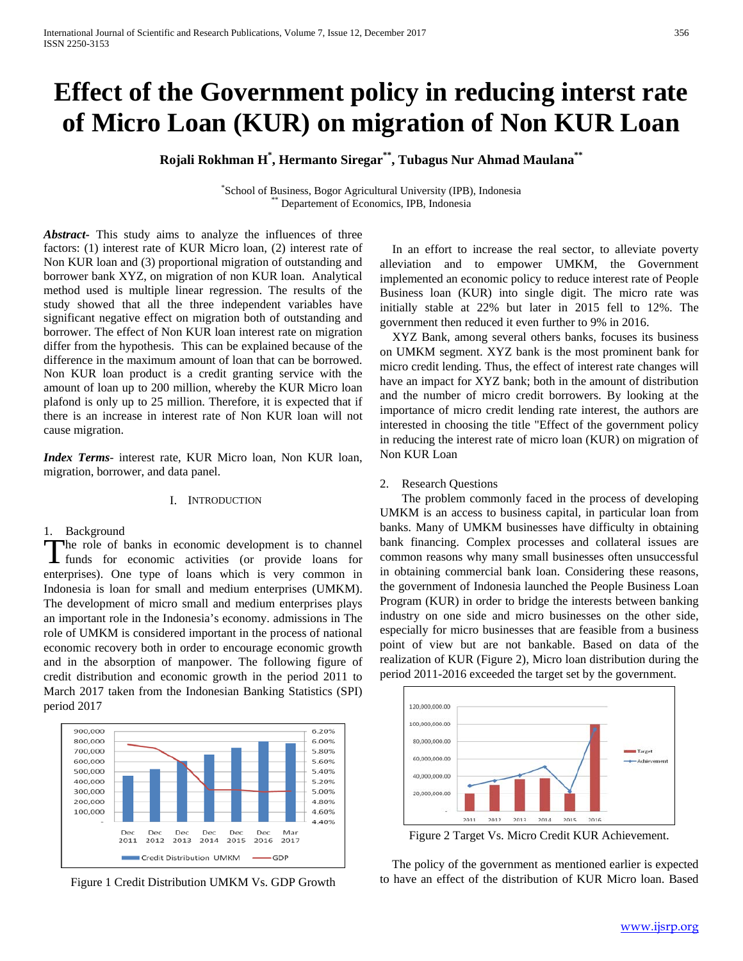# **Effect of the Government policy in reducing interst rate of Micro Loan (KUR) on migration of Non KUR Loan**

**Rojali Rokhman H\* , Hermanto Siregar\*\*, Tubagus Nur Ahmad Maulana\*\***

\* School of Business, Bogor Agricultural University (IPB), Indonesia \*\* Departement of Economics, IPB, Indonesia

*Abstract***-** This study aims to analyze the influences of three factors: (1) interest rate of KUR Micro loan, (2) interest rate of Non KUR loan and (3) proportional migration of outstanding and borrower bank XYZ, on migration of non KUR loan. Analytical method used is multiple linear regression. The results of the study showed that all the three independent variables have significant negative effect on migration both of outstanding and borrower. The effect of Non KUR loan interest rate on migration differ from the hypothesis. This can be explained because of the difference in the maximum amount of loan that can be borrowed. Non KUR loan product is a credit granting service with the amount of loan up to 200 million, whereby the KUR Micro loan plafond is only up to 25 million. Therefore, it is expected that if there is an increase in interest rate of Non KUR loan will not cause migration.

*Index Terms*- interest rate, KUR Micro loan, Non KUR loan, migration, borrower, and data panel.

#### I. INTRODUCTION

#### 1. Background

he role of banks in economic development is to channel The role of banks in economic development is to channel<br>
funds for economic activities (or provide loans for enterprises). One type of loans which is very common in Indonesia is loan for small and medium enterprises (UMKM). The development of micro small and medium enterprises plays an important role in the Indonesia's economy. admissions in The role of UMKM is considered important in the process of national economic recovery both in order to encourage economic growth and in the absorption of manpower. The following figure of credit distribution and economic growth in the period 2011 to March 2017 taken from the Indonesian Banking Statistics (SPI) period 2017



Figure 1 Credit Distribution UMKM Vs. GDP Growth

In an effort to increase the real sector, to alleviate poverty alleviation and to empower UMKM, the Government implemented an economic policy to reduce interest rate of People Business loan (KUR) into single digit. The micro rate was initially stable at 22% but later in 2015 fell to 12%. The government then reduced it even further to 9% in 2016.

XYZ Bank, among several others banks, focuses its business on UMKM segment. XYZ bank is the most prominent bank for micro credit lending. Thus, the effect of interest rate changes will have an impact for XYZ bank; both in the amount of distribution and the number of micro credit borrowers. By looking at the importance of micro credit lending rate interest, the authors are interested in choosing the title "Effect of the government policy in reducing the interest rate of micro loan (KUR) on migration of Non KUR Loan

#### 2. Research Questions

The problem commonly faced in the process of developing UMKM is an access to business capital, in particular loan from banks. Many of UMKM businesses have difficulty in obtaining bank financing. Complex processes and collateral issues are common reasons why many small businesses often unsuccessful in obtaining commercial bank loan. Considering these reasons, the government of Indonesia launched the People Business Loan Program (KUR) in order to bridge the interests between banking industry on one side and micro businesses on the other side, especially for micro businesses that are feasible from a business point of view but are not bankable. Based on data of the realization of KUR (Figure 2), Micro loan distribution during the period 2011-2016 exceeded the target set by the government.



Figure 2 Target Vs. Micro Credit KUR Achievement.

The policy of the government as mentioned earlier is expected to have an effect of the distribution of KUR Micro loan. Based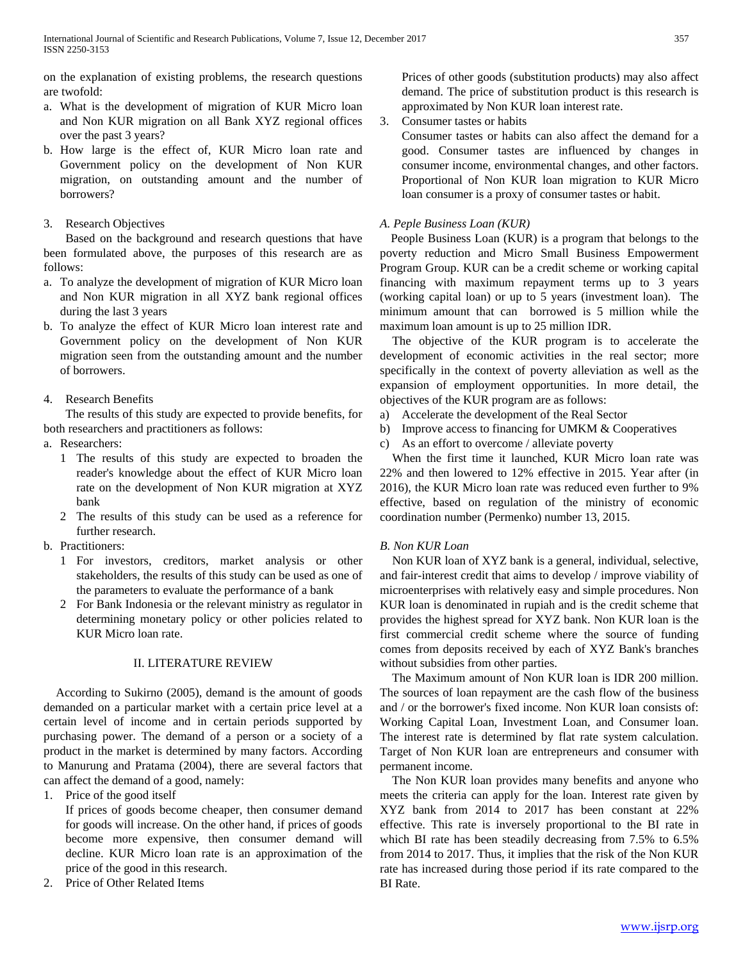on the explanation of existing problems, the research questions are twofold:

- a. What is the development of migration of KUR Micro loan and Non KUR migration on all Bank XYZ regional offices over the past 3 years?
- b. How large is the effect of, KUR Micro loan rate and Government policy on the development of Non KUR migration, on outstanding amount and the number of borrowers?

# 3. Research Objectives

Based on the background and research questions that have been formulated above, the purposes of this research are as follows:

- a. To analyze the development of migration of KUR Micro loan and Non KUR migration in all XYZ bank regional offices during the last 3 years
- b. To analyze the effect of KUR Micro loan interest rate and Government policy on the development of Non KUR migration seen from the outstanding amount and the number of borrowers.

# 4. Research Benefits

The results of this study are expected to provide benefits, for both researchers and practitioners as follows:

- a. Researchers:
	- 1 The results of this study are expected to broaden the reader's knowledge about the effect of KUR Micro loan rate on the development of Non KUR migration at XYZ bank
	- 2 The results of this study can be used as a reference for further research.
- b. Practitioners:
	- 1 For investors, creditors, market analysis or other stakeholders, the results of this study can be used as one of the parameters to evaluate the performance of a bank
	- 2 For Bank Indonesia or the relevant ministry as regulator in determining monetary policy or other policies related to KUR Micro loan rate.

# II. LITERATURE REVIEW

According to Sukirno (2005), demand is the amount of goods demanded on a particular market with a certain price level at a certain level of income and in certain periods supported by purchasing power. The demand of a person or a society of a product in the market is determined by many factors. According to Manurung and Pratama (2004), there are several factors that can affect the demand of a good, namely:

1. Price of the good itself

If prices of goods become cheaper, then consumer demand for goods will increase. On the other hand, if prices of goods become more expensive, then consumer demand will decline. KUR Micro loan rate is an approximation of the price of the good in this research.

2. Price of Other Related Items

Prices of other goods (substitution products) may also affect demand. The price of substitution product is this research is approximated by Non KUR loan interest rate.

3. Consumer tastes or habits

Consumer tastes or habits can also affect the demand for a good. Consumer tastes are influenced by changes in consumer income, environmental changes, and other factors. Proportional of Non KUR loan migration to KUR Micro loan consumer is a proxy of consumer tastes or habit.

# *A. Peple Business Loan (KUR)*

People Business Loan (KUR) is a program that belongs to the poverty reduction and Micro Small Business Empowerment Program Group. KUR can be a credit scheme or working capital financing with maximum repayment terms up to 3 years (working capital loan) or up to 5 years (investment loan). The minimum amount that can borrowed is 5 million while the maximum loan amount is up to 25 million IDR.

The objective of the KUR program is to accelerate the development of economic activities in the real sector; more specifically in the context of poverty alleviation as well as the expansion of employment opportunities. In more detail, the objectives of the KUR program are as follows:

- a) Accelerate the development of the Real Sector
- b) Improve access to financing for UMKM & Cooperatives
- c) As an effort to overcome / alleviate poverty

When the first time it launched, KUR Micro loan rate was 22% and then lowered to 12% effective in 2015. Year after (in 2016), the KUR Micro loan rate was reduced even further to 9% effective, based on regulation of the ministry of economic coordination number (Permenko) number 13, 2015.

# *B. Non KUR Loan*

Non KUR loan of XYZ bank is a general, individual, selective, and fair-interest credit that aims to develop / improve viability of microenterprises with relatively easy and simple procedures. Non KUR loan is denominated in rupiah and is the credit scheme that provides the highest spread for XYZ bank. Non KUR loan is the first commercial credit scheme where the source of funding comes from deposits received by each of XYZ Bank's branches without subsidies from other parties.

The Maximum amount of Non KUR loan is IDR 200 million. The sources of loan repayment are the cash flow of the business and / or the borrower's fixed income. Non KUR loan consists of: Working Capital Loan, Investment Loan, and Consumer loan. The interest rate is determined by flat rate system calculation. Target of Non KUR loan are entrepreneurs and consumer with permanent income.

The Non KUR loan provides many benefits and anyone who meets the criteria can apply for the loan. Interest rate given by XYZ bank from 2014 to 2017 has been constant at 22% effective. This rate is inversely proportional to the BI rate in which BI rate has been steadily decreasing from 7.5% to 6.5% from 2014 to 2017. Thus, it implies that the risk of the Non KUR rate has increased during those period if its rate compared to the BI Rate.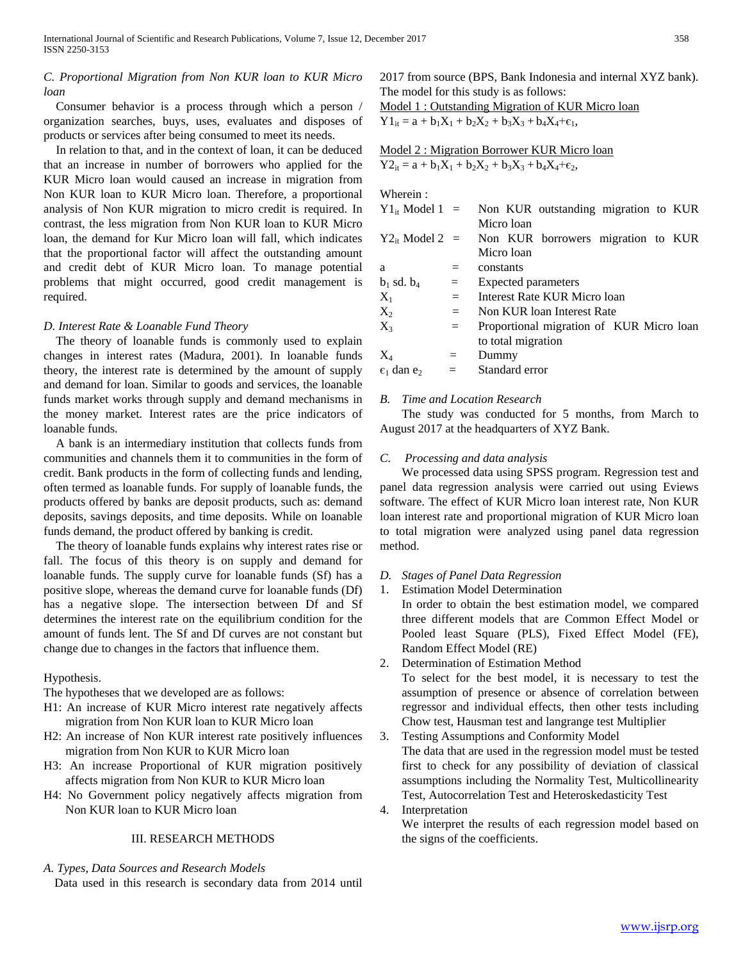# *C. Proportional Migration from Non KUR loan to KUR Micro loan*

Consumer behavior is a process through which a person / organization searches, buys, uses, evaluates and disposes of products or services after being consumed to meet its needs.

In relation to that, and in the context of loan, it can be deduced that an increase in number of borrowers who applied for the KUR Micro loan would caused an increase in migration from Non KUR loan to KUR Micro loan. Therefore, a proportional analysis of Non KUR migration to micro credit is required. In contrast, the less migration from Non KUR loan to KUR Micro loan, the demand for Kur Micro loan will fall, which indicates that the proportional factor will affect the outstanding amount and credit debt of KUR Micro loan. To manage potential problems that might occurred, good credit management is required.

### *D. Interest Rate & Loanable Fund Theory*

The theory of loanable funds is commonly used to explain changes in interest rates (Madura, 2001). In loanable funds theory, the interest rate is determined by the amount of supply and demand for loan. Similar to goods and services, the loanable funds market works through supply and demand mechanisms in the money market. Interest rates are the price indicators of loanable funds.

A bank is an intermediary institution that collects funds from communities and channels them it to communities in the form of credit. Bank products in the form of collecting funds and lending, often termed as loanable funds. For supply of loanable funds, the products offered by banks are deposit products, such as: demand deposits, savings deposits, and time deposits. While on loanable funds demand, the product offered by banking is credit.

The theory of loanable funds explains why interest rates rise or fall. The focus of this theory is on supply and demand for loanable funds. The supply curve for loanable funds (Sf) has a positive slope, whereas the demand curve for loanable funds (Df) has a negative slope. The intersection between Df and Sf determines the interest rate on the equilibrium condition for the amount of funds lent. The Sf and Df curves are not constant but change due to changes in the factors that influence them.

## Hypothesis.

The hypotheses that we developed are as follows:

- H1: An increase of KUR Micro interest rate negatively affects migration from Non KUR loan to KUR Micro loan
- H2: An increase of Non KUR interest rate positively influences migration from Non KUR to KUR Micro loan
- H3: An increase Proportional of KUR migration positively affects migration from Non KUR to KUR Micro loan
- H4: No Government policy negatively affects migration from Non KUR loan to KUR Micro loan

#### III. RESEARCH METHODS

*A. Types, Data Sources and Research Models*

Data used in this research is secondary data from 2014 until

2017 from source (BPS, Bank Indonesia and internal XYZ bank). The model for this study is as follows: Model 1 : Outstanding Migration of KUR Micro loan

 $Y1_{it} = a + b_1X_1 + b_2X_2 + b_3X_3 + b_4X_4 + \epsilon_1$ 

Model 2 : Migration Borrower KUR Micro loan  $Y2_{it} = a + b_1X_1 + b_2X_2 + b_3X_3 + b_4X_4 + \epsilon_2$ 

Wherein :

| $Y1_{it}$ Model 1 =           |     | Non KUR outstanding migration to KUR     |  |  |  |  |
|-------------------------------|-----|------------------------------------------|--|--|--|--|
|                               |     | Micro loan                               |  |  |  |  |
| $Y2_{it}$ Model 2 =           |     | Non KUR borrowers migration to KUR       |  |  |  |  |
|                               |     | Micro loan                               |  |  |  |  |
| a                             | $=$ | constants                                |  |  |  |  |
| $b_1$ sd. $b_4$               | $=$ | Expected parameters                      |  |  |  |  |
| $X_1$                         | $=$ | Interest Rate KUR Micro loan             |  |  |  |  |
| $X_2$                         | $=$ | Non KUR loan Interest Rate               |  |  |  |  |
| $X_3$                         | $=$ | Proportional migration of KUR Micro loan |  |  |  |  |
|                               |     | to total migration                       |  |  |  |  |
| $X_4$                         | $=$ | Dummy                                    |  |  |  |  |
| $\epsilon_1$ dan $\epsilon_2$ | $=$ | Standard error                           |  |  |  |  |
|                               |     |                                          |  |  |  |  |

### *B. Time and Location Research*

The study was conducted for 5 months, from March to August 2017 at the headquarters of XYZ Bank.

## *C. Processing and data analysis*

We processed data using SPSS program. Regression test and panel data regression analysis were carried out using Eviews software. The effect of KUR Micro loan interest rate, Non KUR loan interest rate and proportional migration of KUR Micro loan to total migration were analyzed using panel data regression method.

- *D. Stages of Panel Data Regression*
- 1. Estimation Model Determination

In order to obtain the best estimation model, we compared three different models that are Common Effect Model or Pooled least Square (PLS), Fixed Effect Model (FE), Random Effect Model (RE)

- 2. Determination of Estimation Method To select for the best model, it is necessary to test the assumption of presence or absence of correlation between regressor and individual effects, then other tests including Chow test, Hausman test and langrange test Multiplier
- 3. Testing Assumptions and Conformity Model The data that are used in the regression model must be tested first to check for any possibility of deviation of classical assumptions including the Normality Test, Multicollinearity Test, Autocorrelation Test and Heteroskedasticity Test
- 4. Interpretation

We interpret the results of each regression model based on the signs of the coefficients.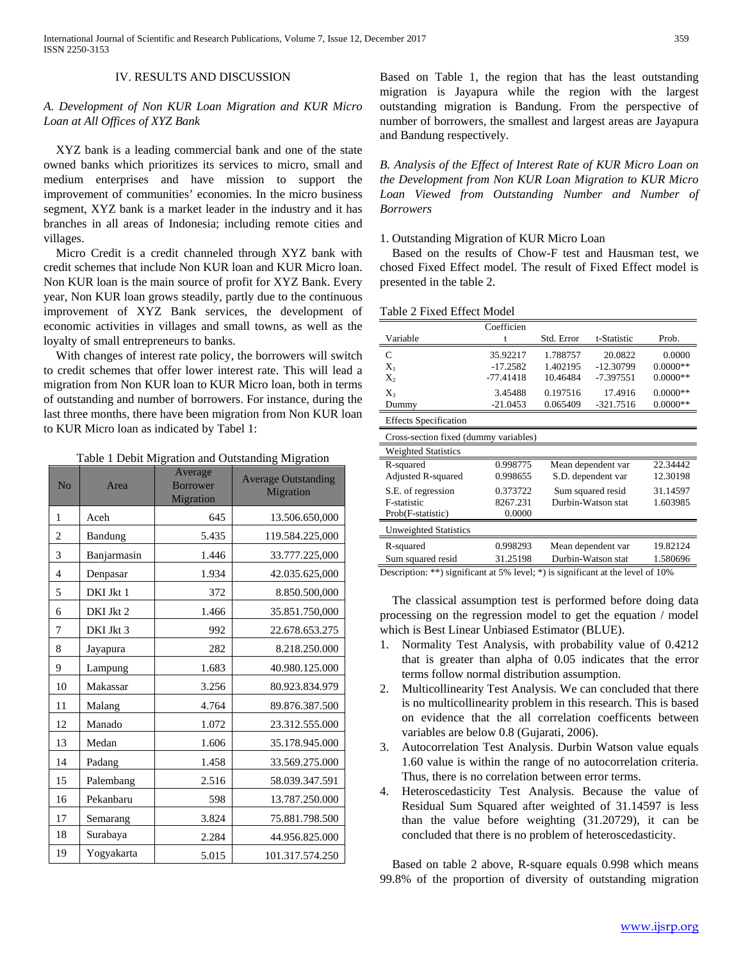### IV. RESULTS AND DISCUSSION

# *A. Development of Non KUR Loan Migration and KUR Micro Loan at All Offices of XYZ Bank*

XYZ bank is a leading commercial bank and one of the state owned banks which prioritizes its services to micro, small and medium enterprises and have mission to support the improvement of communities' economies. In the micro business segment, XYZ bank is a market leader in the industry and it has branches in all areas of Indonesia; including remote cities and villages.

Micro Credit is a credit channeled through XYZ bank with credit schemes that include Non KUR loan and KUR Micro loan. Non KUR loan is the main source of profit for XYZ Bank. Every year, Non KUR loan grows steadily, partly due to the continuous improvement of XYZ Bank services, the development of economic activities in villages and small towns, as well as the loyalty of small entrepreneurs to banks.

With changes of interest rate policy, the borrowers will switch to credit schemes that offer lower interest rate. This will lead a migration from Non KUR loan to KUR Micro loan, both in terms of outstanding and number of borrowers. For instance, during the last three months, there have been migration from Non KUR loan to KUR Micro loan as indicated by Tabel 1:

Table 1 Debit Migration and Outstanding Migration

| No             | Area        | Average<br><b>Borrower</b><br>Migration | <b>Average Outstanding</b><br>Migration |
|----------------|-------------|-----------------------------------------|-----------------------------------------|
| $\mathbf{1}$   | Aceh        | 645                                     | 13.506.650,000                          |
| $\overline{2}$ | Bandung     | 5.435                                   | 119.584.225,000                         |
| 3              | Banjarmasin | 1.446                                   | 33.777.225,000                          |
| $\overline{4}$ | Denpasar    | 1.934                                   | 42.035.625,000                          |
| 5              | DKI Jkt 1   | 372                                     | 8.850.500,000                           |
| 6              | DKI Jkt 2   | 1.466                                   | 35.851.750,000                          |
| 7              | DKI Jkt 3   | 992                                     | 22.678.653.275                          |
| 8              | Jayapura    | 282                                     | 8.218.250.000                           |
| 9              | Lampung     | 1.683                                   | 40.980.125.000                          |
| 10             | Makassar    | 3.256                                   | 80.923.834.979                          |
| 11             | Malang      | 4.764                                   | 89.876.387.500                          |
| 12             | Manado      | 1.072                                   | 23.312.555.000                          |
| 13             | Medan       | 1.606                                   | 35.178.945.000                          |
| 14             | Padang      | 1.458                                   | 33.569.275.000                          |
| 15             | Palembang   | 2.516                                   | 58.039.347.591                          |
| 16             | Pekanbaru   | 598                                     | 13.787.250.000                          |
| 17             | Semarang    | 3.824                                   | 75.881.798.500                          |
| 18             | Surabaya    | 2.284                                   | 44.956.825.000                          |
| 19             | Yogyakarta  | 5.015                                   | 101.317.574.250                         |

Based on Table 1, the region that has the least outstanding migration is Jayapura while the region with the largest outstanding migration is Bandung. From the perspective of number of borrowers, the smallest and largest areas are Jayapura and Bandung respectively.

*B. Analysis of the Effect of Interest Rate of KUR Micro Loan on the Development from Non KUR Loan Migration to KUR Micro Loan Viewed from Outstanding Number and Number of Borrowers*

1. Outstanding Migration of KUR Micro Loan

Based on the results of Chow-F test and Hausman test, we chosed Fixed Effect model. The result of Fixed Effect model is presented in the table 2.

|                                                           | Coefficien  |                               |                                                                                                                                                                                                                                                                                                                                                                               |            |  |  |
|-----------------------------------------------------------|-------------|-------------------------------|-------------------------------------------------------------------------------------------------------------------------------------------------------------------------------------------------------------------------------------------------------------------------------------------------------------------------------------------------------------------------------|------------|--|--|
| Variable                                                  | t           | Std. Error                    | t-Statistic                                                                                                                                                                                                                                                                                                                                                                   | Prob.      |  |  |
| C                                                         | 35.92217    | 1.788757                      | 20.0822                                                                                                                                                                                                                                                                                                                                                                       | 0.0000     |  |  |
| $X_1$                                                     | $-17.2582$  | 1.402195                      | $-12.30799$                                                                                                                                                                                                                                                                                                                                                                   | $0.0000**$ |  |  |
| $X_2$                                                     | $-77.41418$ | 10.46484                      | -7.397551                                                                                                                                                                                                                                                                                                                                                                     | $0.0000**$ |  |  |
| $X_3$                                                     | 3.45488     | 0.197516                      | 17.4916                                                                                                                                                                                                                                                                                                                                                                       | $0.0000**$ |  |  |
| Dummy                                                     | $-21.0453$  | 0.065409                      | $-321.7516$                                                                                                                                                                                                                                                                                                                                                                   | $0.0000**$ |  |  |
| <b>Effects Specification</b>                              |             |                               |                                                                                                                                                                                                                                                                                                                                                                               |            |  |  |
| Cross-section fixed (dummy variables)                     |             |                               |                                                                                                                                                                                                                                                                                                                                                                               |            |  |  |
| <b>Weighted Statistics</b>                                |             |                               |                                                                                                                                                                                                                                                                                                                                                                               |            |  |  |
| R-squared                                                 | 0.998775    | Mean dependent var            |                                                                                                                                                                                                                                                                                                                                                                               | 22.34442   |  |  |
| Adjusted R-squared                                        | 0.998655    | S.D. dependent var            |                                                                                                                                                                                                                                                                                                                                                                               | 12.30198   |  |  |
| S.E. of regression                                        | 0.373722    | Sum squared resid             |                                                                                                                                                                                                                                                                                                                                                                               | 31.14597   |  |  |
| F-statistic                                               | 8267.231    | Durbin-Watson stat            |                                                                                                                                                                                                                                                                                                                                                                               | 1.603985   |  |  |
| Prob(F-statistic)                                         | 0.0000      |                               |                                                                                                                                                                                                                                                                                                                                                                               |            |  |  |
| <b>Unweighted Statistics</b>                              |             |                               |                                                                                                                                                                                                                                                                                                                                                                               |            |  |  |
| R-squared                                                 | 0.998293    |                               | Mean dependent var                                                                                                                                                                                                                                                                                                                                                            | 19.82124   |  |  |
| Sum squared resid                                         | 31.25198    |                               | Durbin-Watson stat                                                                                                                                                                                                                                                                                                                                                            | 1.580696   |  |  |
| $\cdot$ $\sim$<br>the contract of the state's contract of |             | $\mathbf{1}$ and $\mathbf{1}$ | $\ddot{\phantom{a}}$ , $\ddot{\phantom{a}}$ , $\ddot{\phantom{a}}$ , $\ddot{\phantom{a}}$ , $\ddot{\phantom{a}}$ , $\ddot{\phantom{a}}$ , $\ddot{\phantom{a}}$ , $\ddot{\phantom{a}}$ , $\ddot{\phantom{a}}$ , $\ddot{\phantom{a}}$ , $\ddot{\phantom{a}}$ , $\ddot{\phantom{a}}$ , $\ddot{\phantom{a}}$ , $\ddot{\phantom{a}}$ , $\ddot{\phantom{a}}$ , $\ddot{\phantom{a}}$ | $C + Q$    |  |  |

Description: \*\*) significant at 5% level; \*) is significant at the level of 10%

The classical assumption test is performed before doing data processing on the regression model to get the equation / model which is Best Linear Unbiased Estimator (BLUE).

- 1. Normality Test Analysis, with probability value of 0.4212 that is greater than alpha of 0.05 indicates that the error terms follow normal distribution assumption.
- 2. Multicollinearity Test Analysis. We can concluded that there is no multicollinearity problem in this research. This is based on evidence that the all correlation coefficents between variables are below 0.8 (Gujarati, 2006).
- 3. Autocorrelation Test Analysis. Durbin Watson value equals 1.60 value is within the range of no autocorrelation criteria. Thus, there is no correlation between error terms.
- 4. Heteroscedasticity Test Analysis. Because the value of Residual Sum Squared after weighted of 31.14597 is less than the value before weighting (31.20729), it can be concluded that there is no problem of heteroscedasticity.

Based on table 2 above, R-square equals 0.998 which means 99.8% of the proportion of diversity of outstanding migration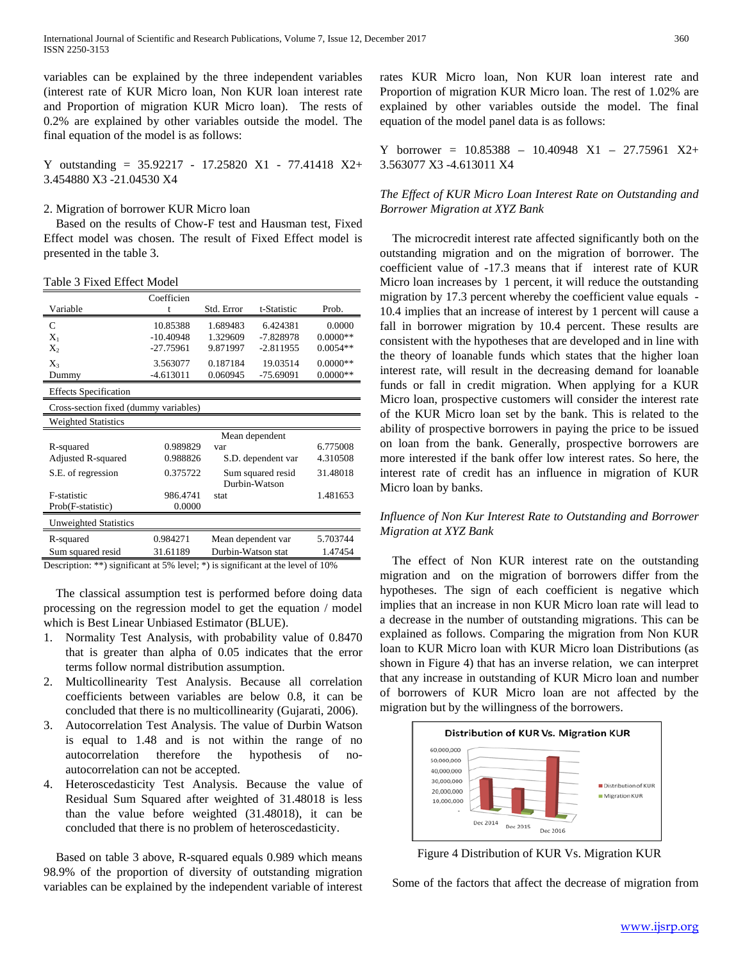variables can be explained by the three independent variables (interest rate of KUR Micro loan, Non KUR loan interest rate and Proportion of migration KUR Micro loan). The rests of 0.2% are explained by other variables outside the model. The final equation of the model is as follows:

Y outstanding = 35.92217 - 17.25820 X1 - 77.41418 X2+ 3.454880 X3 -21.04530 X4

#### 2. Migration of borrower KUR Micro loan

Based on the results of Chow-F test and Hausman test, Fixed Effect model was chosen. The result of Fixed Effect model is presented in the table 3.

Table 3 Fixed Effect Model

|                                       | Coefficien     |                    |               |            |  |  |  |
|---------------------------------------|----------------|--------------------|---------------|------------|--|--|--|
| Variable                              | t              | Std. Error         | t-Statistic   | Prob.      |  |  |  |
| C                                     | 10.85388       | 1.689483           | 6.424381      | 0.0000     |  |  |  |
| $X_1$                                 | $-10.40948$    | 1.329609           | $-7.828978$   | $0.0000**$ |  |  |  |
| $X_2$                                 | -27.75961      | 9.871997           | $-2.811955$   | $0.0054**$ |  |  |  |
| $X_3$                                 | 3.563077       | 0.187184           | 19.03514      | $0.0000**$ |  |  |  |
| Dummy                                 | $-4.613011$    | 0.060945           | $-75.69091$   | $0.0000**$ |  |  |  |
| <b>Effects Specification</b>          |                |                    |               |            |  |  |  |
| Cross-section fixed (dummy variables) |                |                    |               |            |  |  |  |
| <b>Weighted Statistics</b>            |                |                    |               |            |  |  |  |
|                                       | Mean dependent |                    |               |            |  |  |  |
| R-squared                             | 0.989829       | var                |               | 6.775008   |  |  |  |
| Adjusted R-squared                    | 0.988826       | S.D. dependent var |               | 4.310508   |  |  |  |
| S.E. of regression                    | 0.375722       | Sum squared resid  |               | 31.48018   |  |  |  |
|                                       |                |                    | Durbin-Watson |            |  |  |  |
| <b>F-statistic</b>                    | 986.4741       | stat               |               | 1.481653   |  |  |  |
| Prob(F-statistic)                     | 0.0000         |                    |               |            |  |  |  |
| <b>Unweighted Statistics</b>          |                |                    |               |            |  |  |  |
| R-squared                             | 0.984271       | Mean dependent var |               | 5.703744   |  |  |  |
| Sum squared resid                     | 31.61189       | Durbin-Watson stat |               | 1.47454    |  |  |  |

Description: \*\*) significant at 5% level; \*) is significant at the level of 10%

The classical assumption test is performed before doing data processing on the regression model to get the equation / model which is Best Linear Unbiased Estimator (BLUE).

- 1. Normality Test Analysis, with probability value of 0.8470 that is greater than alpha of 0.05 indicates that the error terms follow normal distribution assumption.
- 2. Multicollinearity Test Analysis. Because all correlation coefficients between variables are below 0.8, it can be concluded that there is no multicollinearity (Gujarati, 2006).
- 3. Autocorrelation Test Analysis. The value of Durbin Watson is equal to 1.48 and is not within the range of no autocorrelation therefore the hypothesis of noautocorrelation can not be accepted.
- 4. Heteroscedasticity Test Analysis. Because the value of Residual Sum Squared after weighted of 31.48018 is less than the value before weighted (31.48018), it can be concluded that there is no problem of heteroscedasticity.

Based on table 3 above, R-squared equals 0.989 which means 98.9% of the proportion of diversity of outstanding migration variables can be explained by the independent variable of interest

rates KUR Micro loan, Non KUR loan interest rate and Proportion of migration KUR Micro loan. The rest of 1.02% are explained by other variables outside the model. The final equation of the model panel data is as follows:

Y borrower = 10.85388 – 10.40948 X1 – 27.75961 X2+ 3.563077 X3 -4.613011 X4

## *The Effect of KUR Micro Loan Interest Rate on Outstanding and Borrower Migration at XYZ Bank*

The microcredit interest rate affected significantly both on the outstanding migration and on the migration of borrower. The coefficient value of -17.3 means that if interest rate of KUR Micro loan increases by 1 percent, it will reduce the outstanding migration by 17.3 percent whereby the coefficient value equals - 10.4 implies that an increase of interest by 1 percent will cause a fall in borrower migration by 10.4 percent. These results are consistent with the hypotheses that are developed and in line with the theory of loanable funds which states that the higher loan interest rate, will result in the decreasing demand for loanable funds or fall in credit migration. When applying for a KUR Micro loan, prospective customers will consider the interest rate of the KUR Micro loan set by the bank. This is related to the ability of prospective borrowers in paying the price to be issued on loan from the bank. Generally, prospective borrowers are more interested if the bank offer low interest rates. So here, the interest rate of credit has an influence in migration of KUR Micro loan by banks.

# *Influence of Non Kur Interest Rate to Outstanding and Borrower Migration at XYZ Bank*

The effect of Non KUR interest rate on the outstanding migration and on the migration of borrowers differ from the hypotheses. The sign of each coefficient is negative which implies that an increase in non KUR Micro loan rate will lead to a decrease in the number of outstanding migrations. This can be explained as follows. Comparing the migration from Non KUR loan to KUR Micro loan with KUR Micro loan Distributions (as shown in Figure 4) that has an inverse relation, we can interpret that any increase in outstanding of KUR Micro loan and number of borrowers of KUR Micro loan are not affected by the migration but by the willingness of the borrowers.



Figure 4 Distribution of KUR Vs. Migration KUR

Some of the factors that affect the decrease of migration from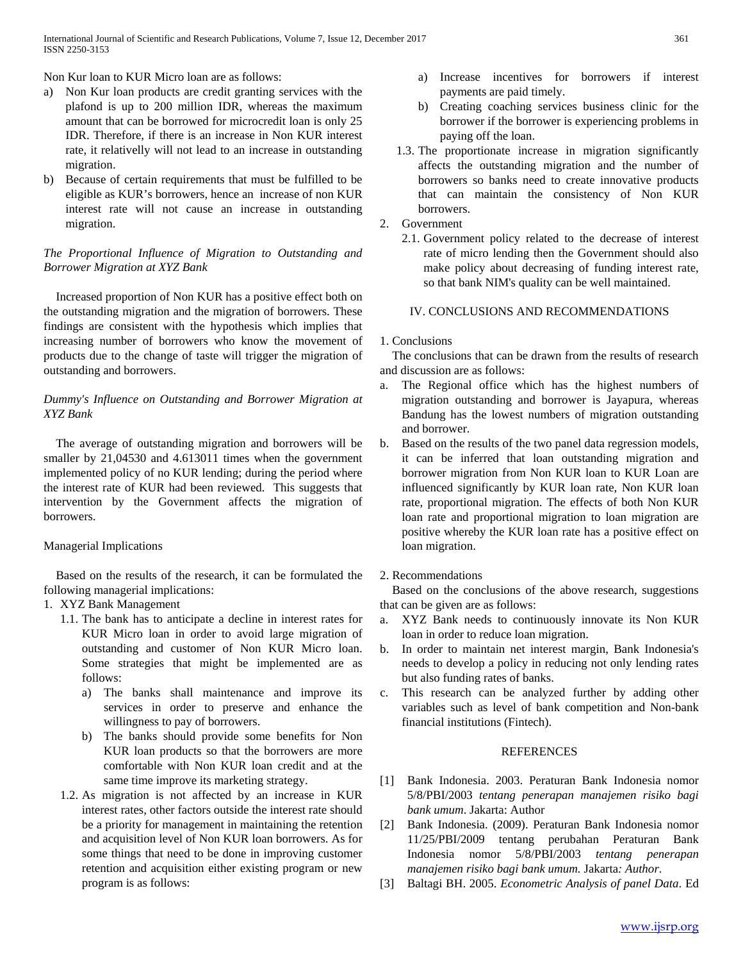Non Kur loan to KUR Micro loan are as follows:

- a) Non Kur loan products are credit granting services with the plafond is up to 200 million IDR, whereas the maximum amount that can be borrowed for microcredit loan is only 25 IDR. Therefore, if there is an increase in Non KUR interest rate, it relativelly will not lead to an increase in outstanding migration.
- b) Because of certain requirements that must be fulfilled to be eligible as KUR's borrowers, hence an increase of non KUR interest rate will not cause an increase in outstanding migration.

# *The Proportional Influence of Migration to Outstanding and Borrower Migration at XYZ Bank*

Increased proportion of Non KUR has a positive effect both on the outstanding migration and the migration of borrowers. These findings are consistent with the hypothesis which implies that increasing number of borrowers who know the movement of products due to the change of taste will trigger the migration of outstanding and borrowers.

# *Dummy's Influence on Outstanding and Borrower Migration at XYZ Bank*

The average of outstanding migration and borrowers will be smaller by 21,04530 and 4.613011 times when the government implemented policy of no KUR lending; during the period where the interest rate of KUR had been reviewed. This suggests that intervention by the Government affects the migration of borrowers.

## Managerial Implications

Based on the results of the research, it can be formulated the following managerial implications:

- 1. XYZ Bank Management
	- 1.1. The bank has to anticipate a decline in interest rates for KUR Micro loan in order to avoid large migration of outstanding and customer of Non KUR Micro loan. Some strategies that might be implemented are as follows:
		- a) The banks shall maintenance and improve its services in order to preserve and enhance the willingness to pay of borrowers.
		- b) The banks should provide some benefits for Non KUR loan products so that the borrowers are more comfortable with Non KUR loan credit and at the same time improve its marketing strategy.
	- 1.2. As migration is not affected by an increase in KUR interest rates, other factors outside the interest rate should be a priority for management in maintaining the retention and acquisition level of Non KUR loan borrowers. As for some things that need to be done in improving customer retention and acquisition either existing program or new program is as follows:
- a) Increase incentives for borrowers if interest payments are paid timely.
- b) Creating coaching services business clinic for the borrower if the borrower is experiencing problems in paying off the loan.
- 1.3. The proportionate increase in migration significantly affects the outstanding migration and the number of borrowers so banks need to create innovative products that can maintain the consistency of Non KUR borrowers.
- 2. Government
	- 2.1. Government policy related to the decrease of interest rate of micro lending then the Government should also make policy about decreasing of funding interest rate, so that bank NIM's quality can be well maintained.

## IV. CONCLUSIONS AND RECOMMENDATIONS

## 1. Conclusions

The conclusions that can be drawn from the results of research and discussion are as follows:

- a. The Regional office which has the highest numbers of migration outstanding and borrower is Jayapura, whereas Bandung has the lowest numbers of migration outstanding and borrower.
- b. Based on the results of the two panel data regression models, it can be inferred that loan outstanding migration and borrower migration from Non KUR loan to KUR Loan are influenced significantly by KUR loan rate, Non KUR loan rate, proportional migration. The effects of both Non KUR loan rate and proportional migration to loan migration are positive whereby the KUR loan rate has a positive effect on loan migration.
- 2. Recommendations

Based on the conclusions of the above research, suggestions that can be given are as follows:

- a. XYZ Bank needs to continuously innovate its Non KUR loan in order to reduce loan migration.
- b. In order to maintain net interest margin, Bank Indonesia's needs to develop a policy in reducing not only lending rates but also funding rates of banks.
- c. This research can be analyzed further by adding other variables such as level of bank competition and Non-bank financial institutions (Fintech).

## REFERENCES

- [1] Bank Indonesia. 2003. Peraturan Bank Indonesia nomor 5/8/PBI/2003 *tentang penerapan manajemen risiko bagi bank umum*. Jakarta: Author
- [2] Bank Indonesia. (2009). Peraturan Bank Indonesia nomor 11/25/PBI/2009 tentang perubahan Peraturan Bank Indonesia nomor 5/8/PBI/2003 *tentang penerapan manajemen risiko bagi bank umum.* Jakarta*: Author*.
- [3] Baltagi BH. 2005. *Econometric Analysis of panel Data*. Ed